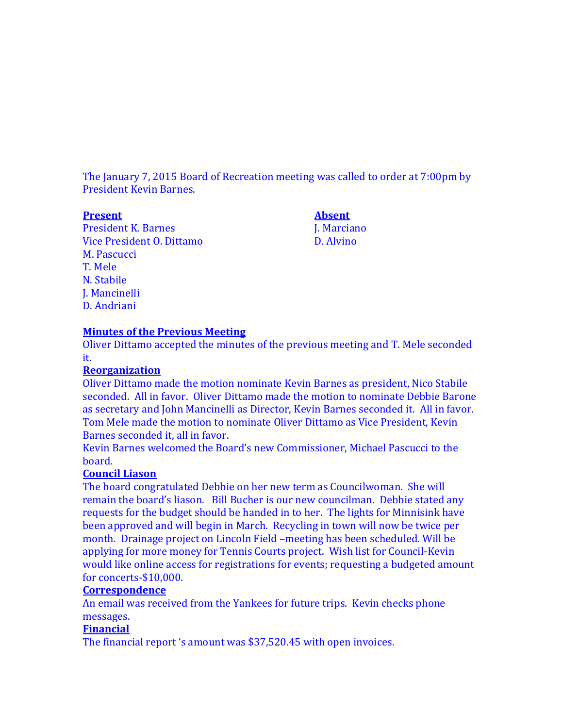The January 7, 2015 Board of Recreation meeting was called to order at 7:00pm by President Kevin Barnes.

President K. Barnes J. Marciano Vice President O. Dittamo D. Alvino M. Pascucci T. Mele N. Stabile J. Mancinelli D. Andriani

**Present Absent**

#### **Minutes of the Previous Meeting**

Oliver Dittamo accepted the minutes of the previous meeting and T. Mele seconded it.

#### **Reorganization**

Oliver Dittamo made the motion nominate Kevin Barnes as president, Nico Stabile seconded. All in favor. Oliver Dittamo made the motion to nominate Debbie Barone as secretary and John Mancinelli as Director, Kevin Barnes seconded it. All in favor. Tom Mele made the motion to nominate Oliver Dittamo as Vice President, Kevin Barnes seconded it, all in favor.

Kevin Barnes welcomed the Board's new Commissioner, Michael Pascucci to the board.

#### **Council Liason**

The board congratulated Debbie on her new term as Councilwoman. She will remain the board's liason. Bill Bucher is our new councilman. Debbie stated any requests for the budget should be handed in to her. The lights for Minnisink have been approved and will begin in March. Recycling in town will now be twice per month. Drainage project on Lincoln Field –meeting has been scheduled. Will be applying for more money for Tennis Courts project. Wish list for Council-Kevin would like online access for registrations for events; requesting a budgeted amount for concerts-\$10,000.

#### **Correspondence**

An email was received from the Yankees for future trips. Kevin checks phone messages.

#### **Financial**

The financial report 's amount was \$37,520.45 with open invoices.